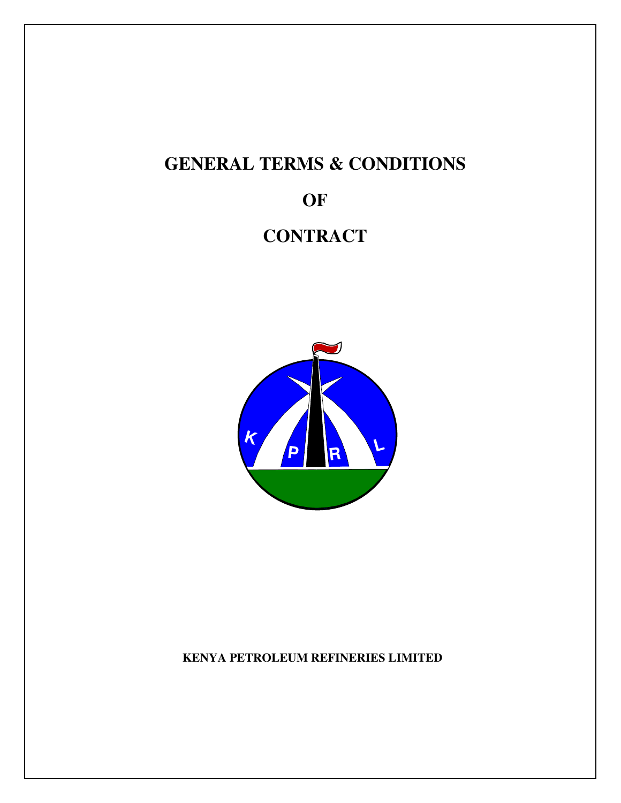# **GENERAL TERMS & CONDITIONS**

**OF**

## **CONTRACT**



### **KENYA PETROLEUM REFINERIES LIMITED**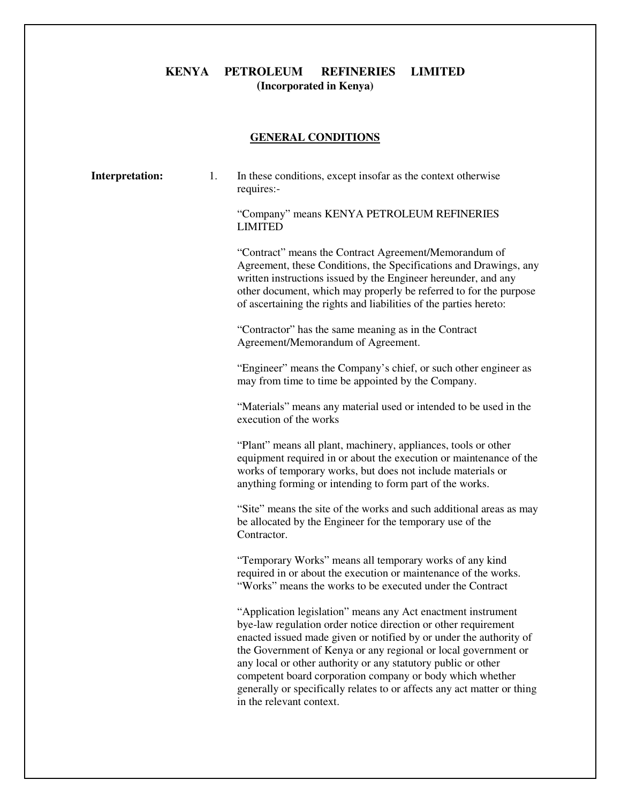#### **KENYA PETROLEUM REFINERIES LIMITED (Incorporated in Kenya)**

#### **GENERAL CONDITIONS**

| <b>Interpretation:</b> | 1. | In these conditions, except insofar as the context otherwise<br>requires:-                                                                                                                                                                                                                                                                                                                                                                                                                                  |
|------------------------|----|-------------------------------------------------------------------------------------------------------------------------------------------------------------------------------------------------------------------------------------------------------------------------------------------------------------------------------------------------------------------------------------------------------------------------------------------------------------------------------------------------------------|
|                        |    | "Company" means KENYA PETROLEUM REFINERIES<br><b>LIMITED</b>                                                                                                                                                                                                                                                                                                                                                                                                                                                |
|                        |    | "Contract" means the Contract Agreement/Memorandum of<br>Agreement, these Conditions, the Specifications and Drawings, any<br>written instructions issued by the Engineer hereunder, and any<br>other document, which may properly be referred to for the purpose<br>of ascertaining the rights and liabilities of the parties hereto:                                                                                                                                                                      |
|                        |    | "Contractor" has the same meaning as in the Contract<br>Agreement/Memorandum of Agreement.                                                                                                                                                                                                                                                                                                                                                                                                                  |
|                        |    | "Engineer" means the Company's chief, or such other engineer as<br>may from time to time be appointed by the Company.                                                                                                                                                                                                                                                                                                                                                                                       |
|                        |    | "Materials" means any material used or intended to be used in the<br>execution of the works                                                                                                                                                                                                                                                                                                                                                                                                                 |
|                        |    | "Plant" means all plant, machinery, appliances, tools or other<br>equipment required in or about the execution or maintenance of the<br>works of temporary works, but does not include materials or<br>anything forming or intending to form part of the works.                                                                                                                                                                                                                                             |
|                        |    | "Site" means the site of the works and such additional areas as may<br>be allocated by the Engineer for the temporary use of the<br>Contractor.                                                                                                                                                                                                                                                                                                                                                             |
|                        |    | "Temporary Works" means all temporary works of any kind<br>required in or about the execution or maintenance of the works.<br>"Works" means the works to be executed under the Contract                                                                                                                                                                                                                                                                                                                     |
|                        |    | "Application legislation" means any Act enactment instrument<br>bye-law regulation order notice direction or other requirement<br>enacted issued made given or notified by or under the authority of<br>the Government of Kenya or any regional or local government or<br>any local or other authority or any statutory public or other<br>competent board corporation company or body which whether<br>generally or specifically relates to or affects any act matter or thing<br>in the relevant context. |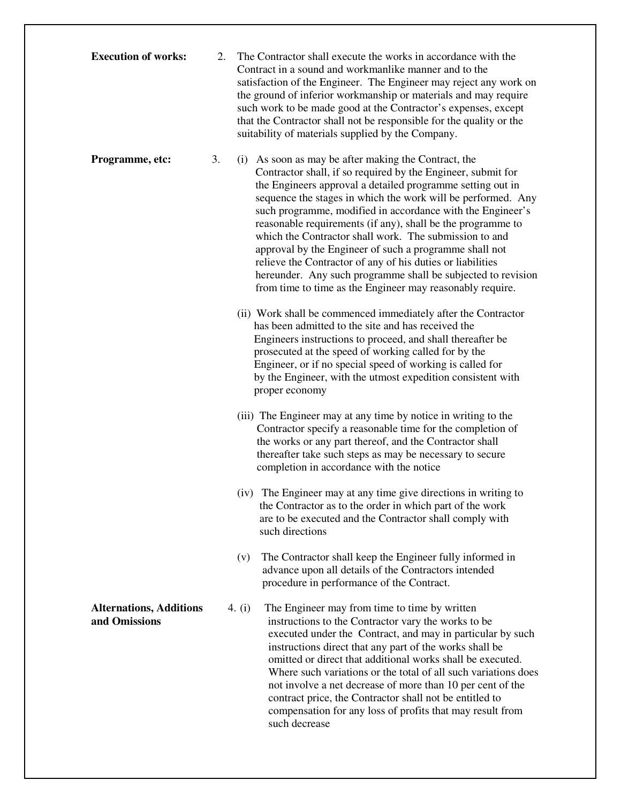| <b>Execution of works:</b>                      | 2. | The Contractor shall execute the works in accordance with the<br>Contract in a sound and workmanlike manner and to the<br>satisfaction of the Engineer. The Engineer may reject any work on<br>the ground of inferior workmanship or materials and may require<br>such work to be made good at the Contractor's expenses, except<br>that the Contractor shall not be responsible for the quality or the<br>suitability of materials supplied by the Company.                                                                                                                                                                                                                                   |
|-------------------------------------------------|----|------------------------------------------------------------------------------------------------------------------------------------------------------------------------------------------------------------------------------------------------------------------------------------------------------------------------------------------------------------------------------------------------------------------------------------------------------------------------------------------------------------------------------------------------------------------------------------------------------------------------------------------------------------------------------------------------|
| Programme, etc:                                 | 3. | (i) As soon as may be after making the Contract, the<br>Contractor shall, if so required by the Engineer, submit for<br>the Engineers approval a detailed programme setting out in<br>sequence the stages in which the work will be performed. Any<br>such programme, modified in accordance with the Engineer's<br>reasonable requirements (if any), shall be the programme to<br>which the Contractor shall work. The submission to and<br>approval by the Engineer of such a programme shall not<br>relieve the Contractor of any of his duties or liabilities<br>hereunder. Any such programme shall be subjected to revision<br>from time to time as the Engineer may reasonably require. |
|                                                 |    | (ii) Work shall be commenced immediately after the Contractor<br>has been admitted to the site and has received the<br>Engineers instructions to proceed, and shall thereafter be<br>prosecuted at the speed of working called for by the<br>Engineer, or if no special speed of working is called for<br>by the Engineer, with the utmost expedition consistent with<br>proper economy                                                                                                                                                                                                                                                                                                        |
|                                                 |    | (iii) The Engineer may at any time by notice in writing to the<br>Contractor specify a reasonable time for the completion of<br>the works or any part thereof, and the Contractor shall<br>thereafter take such steps as may be necessary to secure<br>completion in accordance with the notice                                                                                                                                                                                                                                                                                                                                                                                                |
|                                                 |    | (iv) The Engineer may at any time give directions in writing to<br>the Contractor as to the order in which part of the work<br>are to be executed and the Contractor shall comply with<br>such directions                                                                                                                                                                                                                                                                                                                                                                                                                                                                                      |
|                                                 |    | The Contractor shall keep the Engineer fully informed in<br>(v)<br>advance upon all details of the Contractors intended<br>procedure in performance of the Contract.                                                                                                                                                                                                                                                                                                                                                                                                                                                                                                                           |
| <b>Alternations, Additions</b><br>and Omissions |    | The Engineer may from time to time by written<br>4. $(i)$<br>instructions to the Contractor vary the works to be<br>executed under the Contract, and may in particular by such<br>instructions direct that any part of the works shall be<br>omitted or direct that additional works shall be executed.<br>Where such variations or the total of all such variations does<br>not involve a net decrease of more than 10 per cent of the<br>contract price, the Contractor shall not be entitled to<br>compensation for any loss of profits that may result from<br>such decrease                                                                                                               |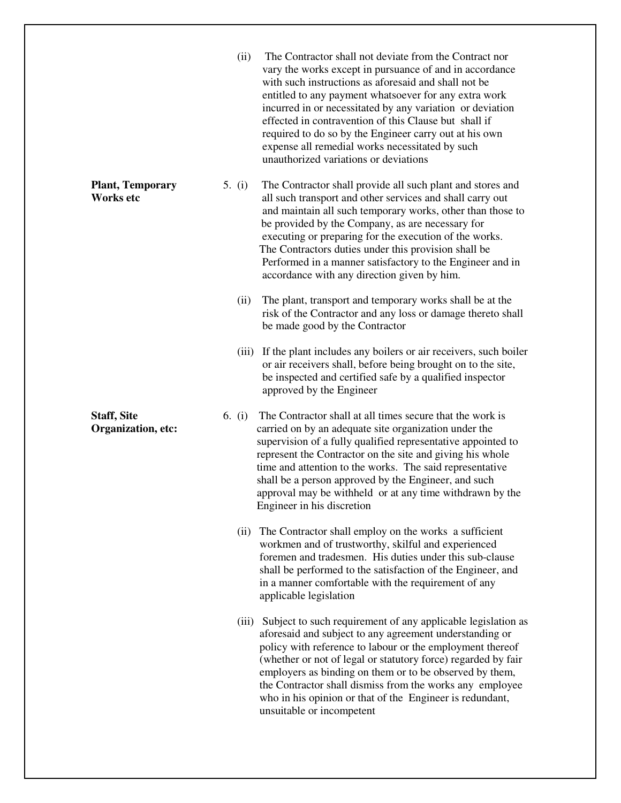|                                          | (ii)<br>The Contractor shall not deviate from the Contract nor<br>vary the works except in pursuance of and in accordance<br>with such instructions as aforesaid and shall not be<br>entitled to any payment whatsoever for any extra work<br>incurred in or necessitated by any variation or deviation<br>effected in contravention of this Clause but shall if<br>required to do so by the Engineer carry out at his own<br>expense all remedial works necessitated by such<br>unauthorized variations or deviations |  |
|------------------------------------------|------------------------------------------------------------------------------------------------------------------------------------------------------------------------------------------------------------------------------------------------------------------------------------------------------------------------------------------------------------------------------------------------------------------------------------------------------------------------------------------------------------------------|--|
| <b>Plant, Temporary</b><br>Works etc     | 5. $(i)$<br>The Contractor shall provide all such plant and stores and<br>all such transport and other services and shall carry out<br>and maintain all such temporary works, other than those to<br>be provided by the Company, as are necessary for<br>executing or preparing for the execution of the works.<br>The Contractors duties under this provision shall be<br>Performed in a manner satisfactory to the Engineer and in<br>accordance with any direction given by him.                                    |  |
|                                          | The plant, transport and temporary works shall be at the<br>(ii)<br>risk of the Contractor and any loss or damage thereto shall<br>be made good by the Contractor                                                                                                                                                                                                                                                                                                                                                      |  |
|                                          | If the plant includes any boilers or air receivers, such boiler<br>(iii)<br>or air receivers shall, before being brought on to the site,<br>be inspected and certified safe by a qualified inspector<br>approved by the Engineer                                                                                                                                                                                                                                                                                       |  |
| <b>Staff, Site</b><br>Organization, etc: | The Contractor shall at all times secure that the work is<br>6. $(i)$<br>carried on by an adequate site organization under the<br>supervision of a fully qualified representative appointed to<br>represent the Contractor on the site and giving his whole<br>time and attention to the works. The said representative<br>shall be a person approved by the Engineer, and such<br>approval may be withheld or at any time withdrawn by the<br>Engineer in his discretion                                              |  |
|                                          | The Contractor shall employ on the works a sufficient<br>(ii)<br>workmen and of trustworthy, skilful and experienced<br>foremen and tradesmen. His duties under this sub-clause<br>shall be performed to the satisfaction of the Engineer, and<br>in a manner comfortable with the requirement of any<br>applicable legislation                                                                                                                                                                                        |  |
|                                          | (iii) Subject to such requirement of any applicable legislation as<br>aforesaid and subject to any agreement understanding or<br>policy with reference to labour or the employment thereof<br>(whether or not of legal or statutory force) regarded by fair<br>employers as binding on them or to be observed by them,<br>the Contractor shall dismiss from the works any employee<br>who in his opinion or that of the Engineer is redundant,<br>unsuitable or incompetent                                            |  |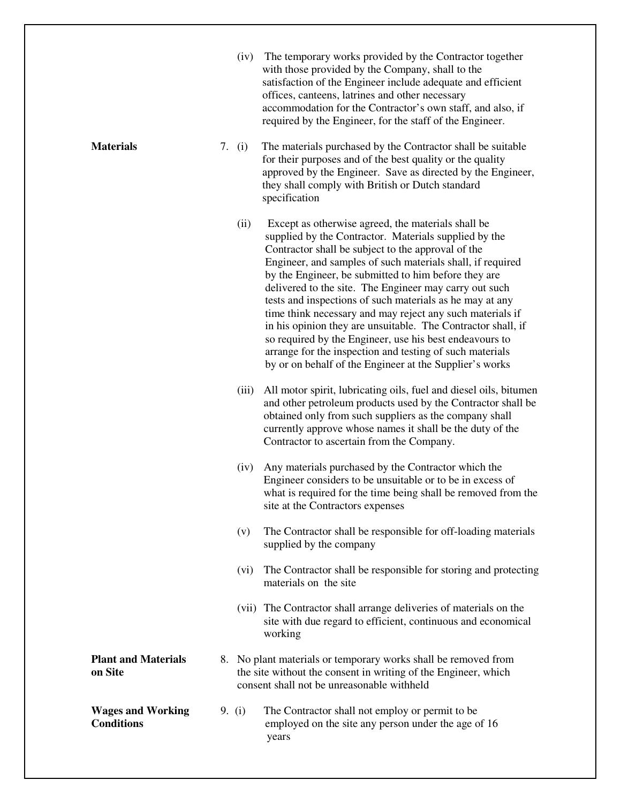|                                               | (iv)     | The temporary works provided by the Contractor together<br>with those provided by the Company, shall to the<br>satisfaction of the Engineer include adequate and efficient<br>offices, canteens, latrines and other necessary<br>accommodation for the Contractor's own staff, and also, if<br>required by the Engineer, for the staff of the Engineer.                                                                                                                                                                                                                                                                                                                                                                      |
|-----------------------------------------------|----------|------------------------------------------------------------------------------------------------------------------------------------------------------------------------------------------------------------------------------------------------------------------------------------------------------------------------------------------------------------------------------------------------------------------------------------------------------------------------------------------------------------------------------------------------------------------------------------------------------------------------------------------------------------------------------------------------------------------------------|
| <b>Materials</b>                              | 7. $(i)$ | The materials purchased by the Contractor shall be suitable<br>for their purposes and of the best quality or the quality<br>approved by the Engineer. Save as directed by the Engineer,<br>they shall comply with British or Dutch standard<br>specification                                                                                                                                                                                                                                                                                                                                                                                                                                                                 |
|                                               | (ii)     | Except as otherwise agreed, the materials shall be<br>supplied by the Contractor. Materials supplied by the<br>Contractor shall be subject to the approval of the<br>Engineer, and samples of such materials shall, if required<br>by the Engineer, be submitted to him before they are<br>delivered to the site. The Engineer may carry out such<br>tests and inspections of such materials as he may at any<br>time think necessary and may reject any such materials if<br>in his opinion they are unsuitable. The Contractor shall, if<br>so required by the Engineer, use his best endeavours to<br>arrange for the inspection and testing of such materials<br>by or on behalf of the Engineer at the Supplier's works |
|                                               | (iii)    | All motor spirit, lubricating oils, fuel and diesel oils, bitumen<br>and other petroleum products used by the Contractor shall be<br>obtained only from such suppliers as the company shall<br>currently approve whose names it shall be the duty of the<br>Contractor to ascertain from the Company.                                                                                                                                                                                                                                                                                                                                                                                                                        |
|                                               | (iv)     | Any materials purchased by the Contractor which the<br>Engineer considers to be unsuitable or to be in excess of<br>what is required for the time being shall be removed from the<br>site at the Contractors expenses                                                                                                                                                                                                                                                                                                                                                                                                                                                                                                        |
|                                               | (v)      | The Contractor shall be responsible for off-loading materials<br>supplied by the company                                                                                                                                                                                                                                                                                                                                                                                                                                                                                                                                                                                                                                     |
|                                               | (vi)     | The Contractor shall be responsible for storing and protecting<br>materials on the site                                                                                                                                                                                                                                                                                                                                                                                                                                                                                                                                                                                                                                      |
|                                               |          | (vii) The Contractor shall arrange deliveries of materials on the<br>site with due regard to efficient, continuous and economical<br>working                                                                                                                                                                                                                                                                                                                                                                                                                                                                                                                                                                                 |
| <b>Plant and Materials</b><br>on Site         |          | 8. No plant materials or temporary works shall be removed from<br>the site without the consent in writing of the Engineer, which<br>consent shall not be unreasonable withheld                                                                                                                                                                                                                                                                                                                                                                                                                                                                                                                                               |
| <b>Wages and Working</b><br><b>Conditions</b> | 9. $(i)$ | The Contractor shall not employ or permit to be<br>employed on the site any person under the age of 16<br>years                                                                                                                                                                                                                                                                                                                                                                                                                                                                                                                                                                                                              |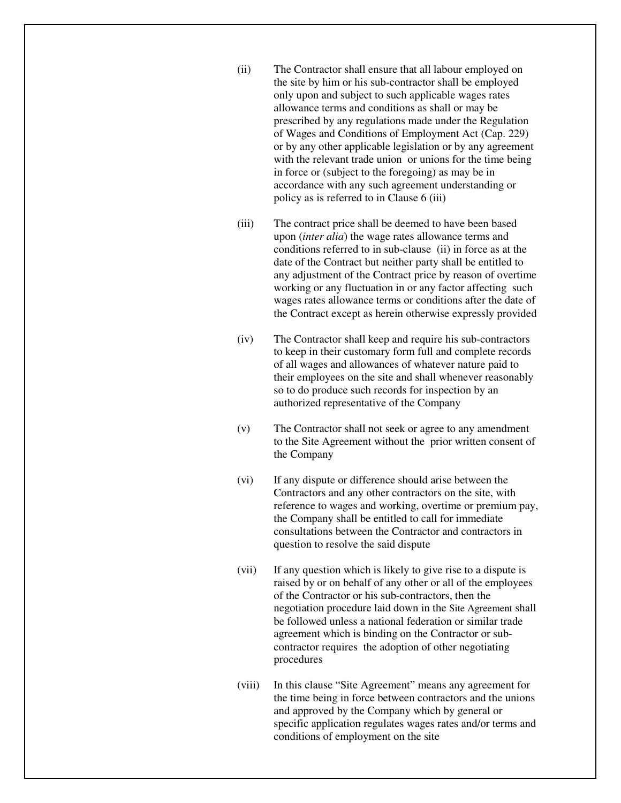- (ii) The Contractor shall ensure that all labour employed on the site by him or his sub-contractor shall be employed only upon and subject to such applicable wages rates allowance terms and conditions as shall or may be prescribed by any regulations made under the Regulation of Wages and Conditions of Employment Act (Cap. 229) or by any other applicable legislation or by any agreement with the relevant trade union or unions for the time being in force or (subject to the foregoing) as may be in accordance with any such agreement understanding or policy as is referred to in Clause 6 (iii)
- (iii) The contract price shall be deemed to have been based upon (*inter alia*) the wage rates allowance terms and conditions referred to in sub-clause (ii) in force as at the date of the Contract but neither party shall be entitled to any adjustment of the Contract price by reason of overtime working or any fluctuation in or any factor affecting such wages rates allowance terms or conditions after the date of the Contract except as herein otherwise expressly provided
- (iv) The Contractor shall keep and require his sub-contractors to keep in their customary form full and complete records of all wages and allowances of whatever nature paid to their employees on the site and shall whenever reasonably so to do produce such records for inspection by an authorized representative of the Company
- (v) The Contractor shall not seek or agree to any amendment to the Site Agreement without the prior written consent of the Company
- (vi) If any dispute or difference should arise between the Contractors and any other contractors on the site, with reference to wages and working, overtime or premium pay, the Company shall be entitled to call for immediate consultations between the Contractor and contractors in question to resolve the said dispute
- (vii) If any question which is likely to give rise to a dispute is raised by or on behalf of any other or all of the employees of the Contractor or his sub-contractors, then the negotiation procedure laid down in the Site Agreement shall be followed unless a national federation or similar trade agreement which is binding on the Contractor or subcontractor requires the adoption of other negotiating procedures
- (viii) In this clause "Site Agreement" means any agreement for the time being in force between contractors and the unions and approved by the Company which by general or specific application regulates wages rates and/or terms and conditions of employment on the site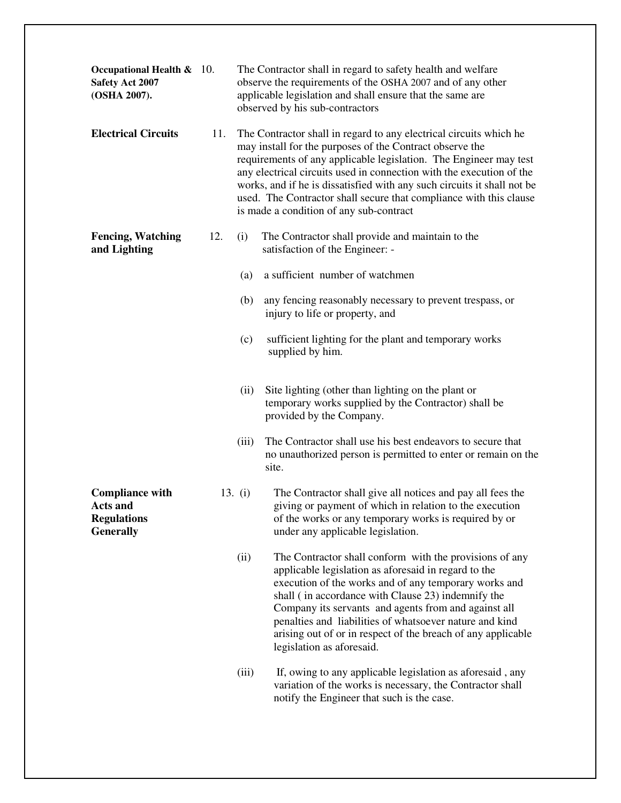| Occupational Health $\&$ 10.<br>Safety Act 2007<br>(OSHA 2007).                     |     |           | The Contractor shall in regard to safety health and welfare<br>observe the requirements of the OSHA 2007 and of any other<br>applicable legislation and shall ensure that the same are<br>observed by his sub-contractors                                                                                                                                                                                                                                               |
|-------------------------------------------------------------------------------------|-----|-----------|-------------------------------------------------------------------------------------------------------------------------------------------------------------------------------------------------------------------------------------------------------------------------------------------------------------------------------------------------------------------------------------------------------------------------------------------------------------------------|
| <b>Electrical Circuits</b>                                                          | 11. |           | The Contractor shall in regard to any electrical circuits which he<br>may install for the purposes of the Contract observe the<br>requirements of any applicable legislation. The Engineer may test<br>any electrical circuits used in connection with the execution of the<br>works, and if he is dissatisfied with any such circuits it shall not be<br>used. The Contractor shall secure that compliance with this clause<br>is made a condition of any sub-contract |
| <b>Fencing, Watching</b><br>and Lighting                                            | 12. | (i)       | The Contractor shall provide and maintain to the<br>satisfaction of the Engineer: -                                                                                                                                                                                                                                                                                                                                                                                     |
|                                                                                     |     | (a)       | a sufficient number of watchmen                                                                                                                                                                                                                                                                                                                                                                                                                                         |
|                                                                                     |     | (b)       | any fencing reasonably necessary to prevent trespass, or<br>injury to life or property, and                                                                                                                                                                                                                                                                                                                                                                             |
|                                                                                     |     | (c)       | sufficient lighting for the plant and temporary works<br>supplied by him.                                                                                                                                                                                                                                                                                                                                                                                               |
|                                                                                     |     | (ii)      | Site lighting (other than lighting on the plant or<br>temporary works supplied by the Contractor) shall be<br>provided by the Company.                                                                                                                                                                                                                                                                                                                                  |
|                                                                                     |     | (iii)     | The Contractor shall use his best endeavors to secure that<br>no unauthorized person is permitted to enter or remain on the<br>site.                                                                                                                                                                                                                                                                                                                                    |
| <b>Compliance with</b><br><b>Acts and</b><br><b>Regulations</b><br><b>Generally</b> |     | 13. $(i)$ | The Contractor shall give all notices and pay all fees the<br>giving or payment of which in relation to the execution<br>of the works or any temporary works is required by or<br>under any applicable legislation.                                                                                                                                                                                                                                                     |
|                                                                                     |     | (ii)      | The Contractor shall conform with the provisions of any<br>applicable legislation as aforesaid in regard to the<br>execution of the works and of any temporary works and<br>shall (in accordance with Clause 23) indemnify the<br>Company its servants and agents from and against all<br>penalties and liabilities of whatsoever nature and kind<br>arising out of or in respect of the breach of any applicable<br>legislation as aforesaid.                          |
|                                                                                     |     | (iii)     | If, owing to any applicable legislation as aforesaid, any<br>variation of the works is necessary, the Contractor shall<br>notify the Engineer that such is the case.                                                                                                                                                                                                                                                                                                    |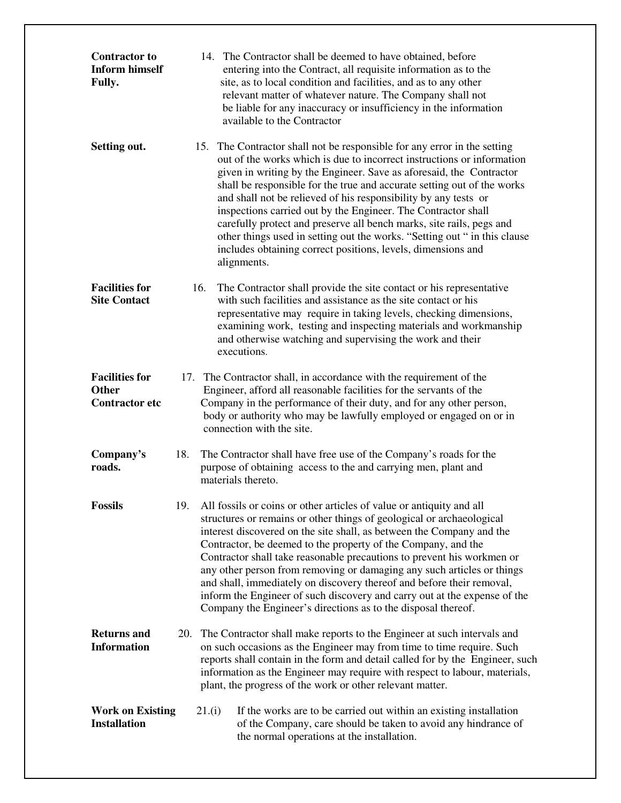| <b>Contractor to</b><br><b>Inform himself</b><br><b>Fully.</b> |     | 14. The Contractor shall be deemed to have obtained, before<br>entering into the Contract, all requisite information as to the<br>site, as to local condition and facilities, and as to any other<br>relevant matter of whatever nature. The Company shall not<br>be liable for any inaccuracy or insufficiency in the information<br>available to the Contractor                                                                                                                                                                                                                                                                                                            |
|----------------------------------------------------------------|-----|------------------------------------------------------------------------------------------------------------------------------------------------------------------------------------------------------------------------------------------------------------------------------------------------------------------------------------------------------------------------------------------------------------------------------------------------------------------------------------------------------------------------------------------------------------------------------------------------------------------------------------------------------------------------------|
| Setting out.                                                   |     | 15. The Contractor shall not be responsible for any error in the setting<br>out of the works which is due to incorrect instructions or information<br>given in writing by the Engineer. Save as aforesaid, the Contractor<br>shall be responsible for the true and accurate setting out of the works<br>and shall not be relieved of his responsibility by any tests or<br>inspections carried out by the Engineer. The Contractor shall<br>carefully protect and preserve all bench marks, site rails, pegs and<br>other things used in setting out the works. "Setting out " in this clause<br>includes obtaining correct positions, levels, dimensions and<br>alignments. |
| <b>Facilities for</b><br><b>Site Contact</b>                   | 16. | The Contractor shall provide the site contact or his representative<br>with such facilities and assistance as the site contact or his<br>representative may require in taking levels, checking dimensions,<br>examining work, testing and inspecting materials and workmanship<br>and otherwise watching and supervising the work and their<br>executions.                                                                                                                                                                                                                                                                                                                   |
| <b>Facilities for</b><br><b>Other</b><br><b>Contractor etc</b> |     | 17. The Contractor shall, in accordance with the requirement of the<br>Engineer, afford all reasonable facilities for the servants of the<br>Company in the performance of their duty, and for any other person,<br>body or authority who may be lawfully employed or engaged on or in<br>connection with the site.                                                                                                                                                                                                                                                                                                                                                          |
| Company's<br>roads.                                            | 18. | The Contractor shall have free use of the Company's roads for the<br>purpose of obtaining access to the and carrying men, plant and<br>materials thereto.                                                                                                                                                                                                                                                                                                                                                                                                                                                                                                                    |
| <b>Fossils</b>                                                 | 19. | All fossils or coins or other articles of value or antiquity and all<br>structures or remains or other things of geological or archaeological<br>interest discovered on the site shall, as between the Company and the<br>Contractor, be deemed to the property of the Company, and the<br>Contractor shall take reasonable precautions to prevent his workmen or<br>any other person from removing or damaging any such articles or things<br>and shall, immediately on discovery thereof and before their removal,<br>inform the Engineer of such discovery and carry out at the expense of the<br>Company the Engineer's directions as to the disposal thereof.           |
| <b>Returns and</b><br><b>Information</b>                       | 20. | The Contractor shall make reports to the Engineer at such intervals and<br>on such occasions as the Engineer may from time to time require. Such<br>reports shall contain in the form and detail called for by the Engineer, such<br>information as the Engineer may require with respect to labour, materials,<br>plant, the progress of the work or other relevant matter.                                                                                                                                                                                                                                                                                                 |
| <b>Work on Existing</b><br><b>Installation</b>                 |     | If the works are to be carried out within an existing installation<br>21.(i)<br>of the Company, care should be taken to avoid any hindrance of<br>the normal operations at the installation.                                                                                                                                                                                                                                                                                                                                                                                                                                                                                 |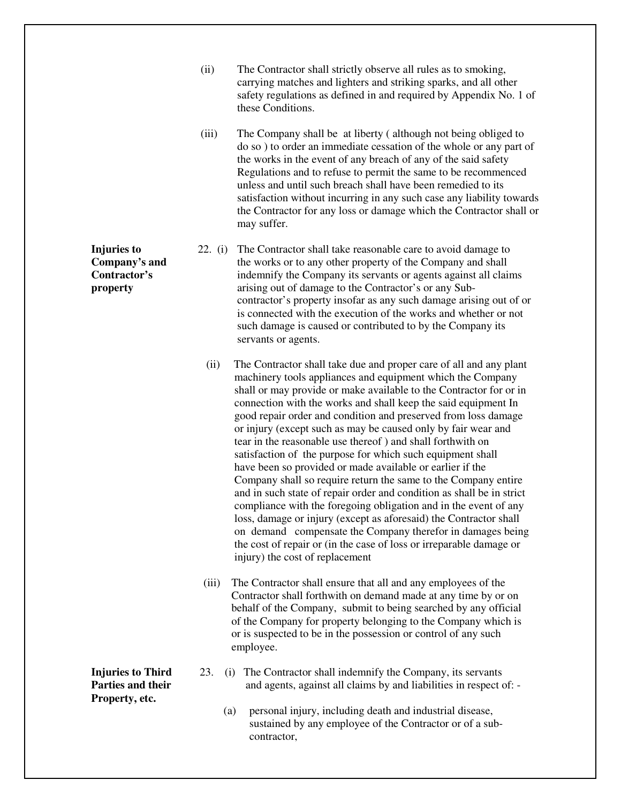- (ii) The Contractor shall strictly observe all rules as to smoking, carrying matches and lighters and striking sparks, and all other safety regulations as defined in and required by Appendix No. 1 of these Conditions.
- (iii) The Company shall be at liberty ( although not being obliged to do so ) to order an immediate cessation of the whole or any part of the works in the event of any breach of any of the said safety Regulations and to refuse to permit the same to be recommenced unless and until such breach shall have been remedied to its satisfaction without incurring in any such case any liability towards the Contractor for any loss or damage which the Contractor shall or may suffer.
- **Injuries to** 22. (i) The Contractor shall take reasonable care to avoid damage to **Company's and** the works or to any other property of the Company and shall **Contractor's** indemnify the Company its servants or agents against all claims **property** arising out of damage to the Contractor's or any Subcontractor's property insofar as any such damage arising out of or is connected with the execution of the works and whether or not such damage is caused or contributed to by the Company its servants or agents.
	- (ii) The Contractor shall take due and proper care of all and any plant machinery tools appliances and equipment which the Company shall or may provide or make available to the Contractor for or in connection with the works and shall keep the said equipment In good repair order and condition and preserved from loss damage or injury (except such as may be caused only by fair wear and tear in the reasonable use thereof ) and shall forthwith on satisfaction of the purpose for which such equipment shall have been so provided or made available or earlier if the Company shall so require return the same to the Company entire and in such state of repair order and condition as shall be in strict compliance with the foregoing obligation and in the event of any loss, damage or injury (except as aforesaid) the Contractor shall on demand compensate the Company therefor in damages being the cost of repair or (in the case of loss or irreparable damage or injury) the cost of replacement
	- (iii) The Contractor shall ensure that all and any employees of the Contractor shall forthwith on demand made at any time by or on behalf of the Company, submit to being searched by any official of the Company for property belonging to the Company which is or is suspected to be in the possession or control of any such employee.
- **Injuries to Third** 23. (i) The Contractor shall indemnify the Company, its servants **Parties and their** and agents, against all claims by and liabilities in respect of:
	- (a) personal injury, including death and industrial disease, sustained by any employee of the Contractor or of a subcontractor,

**Property, etc.**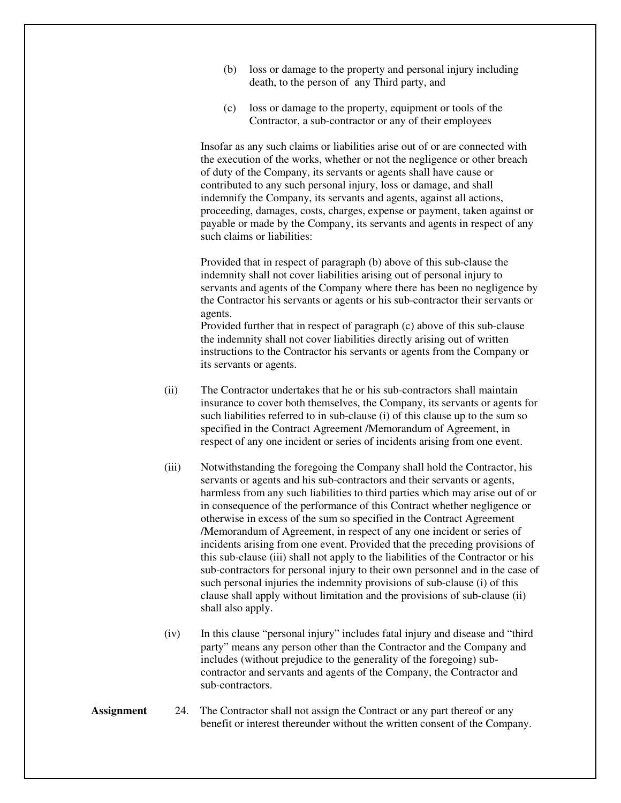- (b) loss or damage to the property and personal injury including death, to the person of any Third party, and
- (c) loss or damage to the property, equipment or tools of the Contractor, a sub-contractor or any of their employees

Insofar as any such claims or liabilities arise out of or are connected with the execution of the works, whether or not the negligence or other breach of duty of the Company, its servants or agents shall have cause or contributed to any such personal injury, loss or damage, and shall indemnify the Company, its servants and agents, against all actions, proceeding, damages, costs, charges, expense or payment, taken against or payable or made by the Company, its servants and agents in respect of any such claims or liabilities:

Provided that in respect of paragraph (b) above of this sub-clause the indemnity shall not cover liabilities arising out of personal injury to servants and agents of the Company where there has been no negligence by the Contractor his servants or agents or his sub-contractor their servants or agents.

Provided further that in respect of paragraph (c) above of this sub-clause the indemnity shall not cover liabilities directly arising out of written instructions to the Contractor his servants or agents from the Company or its servants or agents.

- (ii) The Contractor undertakes that he or his sub-contractors shall maintain insurance to cover both themselves, the Company, its servants or agents for such liabilities referred to in sub-clause (i) of this clause up to the sum so specified in the Contract Agreement /Memorandum of Agreement, in respect of any one incident or series of incidents arising from one event.
- (iii) Notwithstanding the foregoing the Company shall hold the Contractor, his servants or agents and his sub-contractors and their servants or agents, harmless from any such liabilities to third parties which may arise out of or in consequence of the performance of this Contract whether negligence or otherwise in excess of the sum so specified in the Contract Agreement /Memorandum of Agreement, in respect of any one incident or series of incidents arising from one event. Provided that the preceding provisions of this sub-clause (iii) shall not apply to the liabilities of the Contractor or his sub-contractors for personal injury to their own personnel and in the case of such personal injuries the indemnity provisions of sub-clause (i) of this clause shall apply without limitation and the provisions of sub-clause (ii) shall also apply.
- (iv) In this clause "personal injury" includes fatal injury and disease and "third party" means any person other than the Contractor and the Company and includes (without prejudice to the generality of the foregoing) subcontractor and servants and agents of the Company, the Contractor and sub-contractors.
- **Assignment** 24. The Contractor shall not assign the Contract or any part thereof or any benefit or interest thereunder without the written consent of the Company.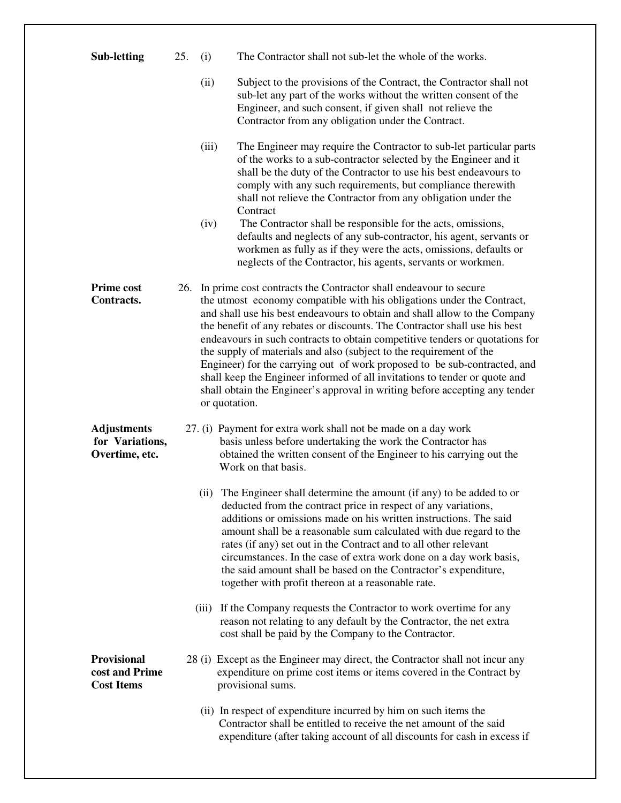| <b>Sub-letting</b>                                        | 25. | (i)           | The Contractor shall not sub-let the whole of the works.                                                                                                                                                                                                                                                                                                                                                                                                                                                                                                                                                                                                                                                    |
|-----------------------------------------------------------|-----|---------------|-------------------------------------------------------------------------------------------------------------------------------------------------------------------------------------------------------------------------------------------------------------------------------------------------------------------------------------------------------------------------------------------------------------------------------------------------------------------------------------------------------------------------------------------------------------------------------------------------------------------------------------------------------------------------------------------------------------|
|                                                           |     | (ii)          | Subject to the provisions of the Contract, the Contractor shall not<br>sub-let any part of the works without the written consent of the<br>Engineer, and such consent, if given shall not relieve the<br>Contractor from any obligation under the Contract.                                                                                                                                                                                                                                                                                                                                                                                                                                                 |
|                                                           |     | (iii)         | The Engineer may require the Contractor to sub-let particular parts<br>of the works to a sub-contractor selected by the Engineer and it<br>shall be the duty of the Contractor to use his best endeavours to<br>comply with any such requirements, but compliance therewith<br>shall not relieve the Contractor from any obligation under the<br>Contract                                                                                                                                                                                                                                                                                                                                                   |
|                                                           |     | (iv)          | The Contractor shall be responsible for the acts, omissions,<br>defaults and neglects of any sub-contractor, his agent, servants or<br>workmen as fully as if they were the acts, omissions, defaults or<br>neglects of the Contractor, his agents, servants or workmen.                                                                                                                                                                                                                                                                                                                                                                                                                                    |
| <b>Prime cost</b><br>Contracts.                           |     | or quotation. | 26. In prime cost contracts the Contractor shall endeavour to secure<br>the utmost economy compatible with his obligations under the Contract,<br>and shall use his best endeavours to obtain and shall allow to the Company<br>the benefit of any rebates or discounts. The Contractor shall use his best<br>endeavours in such contracts to obtain competitive tenders or quotations for<br>the supply of materials and also (subject to the requirement of the<br>Engineer) for the carrying out of work proposed to be sub-contracted, and<br>shall keep the Engineer informed of all invitations to tender or quote and<br>shall obtain the Engineer's approval in writing before accepting any tender |
| <b>Adjustments</b><br>for Variations,<br>Overtime, etc.   |     |               | 27. (i) Payment for extra work shall not be made on a day work<br>basis unless before undertaking the work the Contractor has<br>obtained the written consent of the Engineer to his carrying out the<br>Work on that basis.                                                                                                                                                                                                                                                                                                                                                                                                                                                                                |
|                                                           |     | (ii)          | The Engineer shall determine the amount (if any) to be added to or<br>deducted from the contract price in respect of any variations,<br>additions or omissions made on his written instructions. The said<br>amount shall be a reasonable sum calculated with due regard to the<br>rates (if any) set out in the Contract and to all other relevant<br>circumstances. In the case of extra work done on a day work basis,<br>the said amount shall be based on the Contractor's expenditure,<br>together with profit thereon at a reasonable rate.                                                                                                                                                          |
|                                                           |     | (iii)         | If the Company requests the Contractor to work overtime for any<br>reason not relating to any default by the Contractor, the net extra<br>cost shall be paid by the Company to the Contractor.                                                                                                                                                                                                                                                                                                                                                                                                                                                                                                              |
| <b>Provisional</b><br>cost and Prime<br><b>Cost Items</b> |     |               | 28 (i) Except as the Engineer may direct, the Contractor shall not incur any<br>expenditure on prime cost items or items covered in the Contract by<br>provisional sums.                                                                                                                                                                                                                                                                                                                                                                                                                                                                                                                                    |
|                                                           |     |               | (ii) In respect of expenditure incurred by him on such items the<br>Contractor shall be entitled to receive the net amount of the said<br>expenditure (after taking account of all discounts for cash in excess if                                                                                                                                                                                                                                                                                                                                                                                                                                                                                          |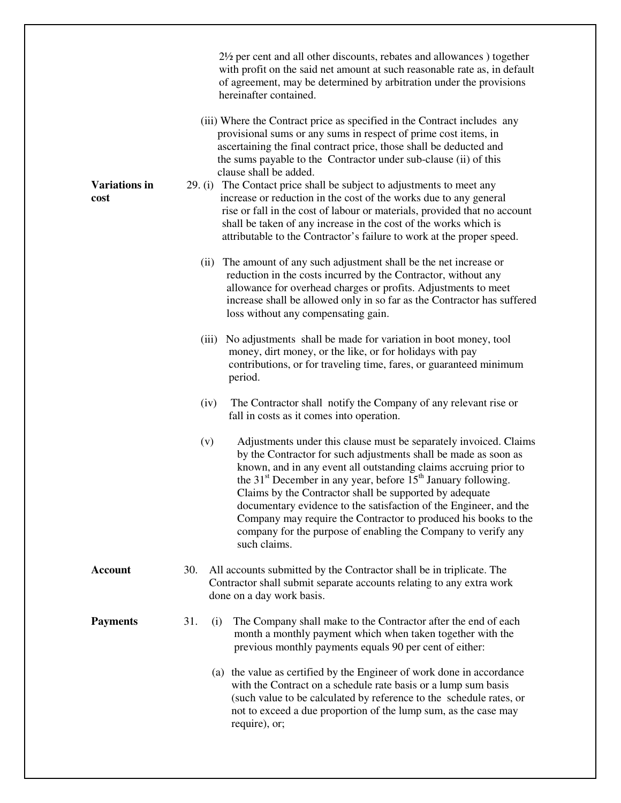|                              | 2 <sup>1</sup> / <sub>2</sub> per cent and all other discounts, rebates and allowances together<br>with profit on the said net amount at such reasonable rate as, in default<br>of agreement, may be determined by arbitration under the provisions<br>hereinafter contained.                                                                                                                                                                                                                                                                                                                |
|------------------------------|----------------------------------------------------------------------------------------------------------------------------------------------------------------------------------------------------------------------------------------------------------------------------------------------------------------------------------------------------------------------------------------------------------------------------------------------------------------------------------------------------------------------------------------------------------------------------------------------|
|                              | (iii) Where the Contract price as specified in the Contract includes any<br>provisional sums or any sums in respect of prime cost items, in<br>ascertaining the final contract price, those shall be deducted and<br>the sums payable to the Contractor under sub-clause (ii) of this<br>clause shall be added.                                                                                                                                                                                                                                                                              |
| <b>Variations in</b><br>cost | The Contact price shall be subject to adjustments to meet any<br>29. (i)<br>increase or reduction in the cost of the works due to any general<br>rise or fall in the cost of labour or materials, provided that no account<br>shall be taken of any increase in the cost of the works which is<br>attributable to the Contractor's failure to work at the proper speed.                                                                                                                                                                                                                      |
|                              | (ii) The amount of any such adjustment shall be the net increase or<br>reduction in the costs incurred by the Contractor, without any<br>allowance for overhead charges or profits. Adjustments to meet<br>increase shall be allowed only in so far as the Contractor has suffered<br>loss without any compensating gain.                                                                                                                                                                                                                                                                    |
|                              | No adjustments shall be made for variation in boot money, tool<br>(iii)<br>money, dirt money, or the like, or for holidays with pay<br>contributions, or for traveling time, fares, or guaranteed minimum<br>period.                                                                                                                                                                                                                                                                                                                                                                         |
|                              | The Contractor shall notify the Company of any relevant rise or<br>(iv)<br>fall in costs as it comes into operation.                                                                                                                                                                                                                                                                                                                                                                                                                                                                         |
|                              | Adjustments under this clause must be separately invoiced. Claims<br>(v)<br>by the Contractor for such adjustments shall be made as soon as<br>known, and in any event all outstanding claims accruing prior to<br>the 31 <sup>st</sup> December in any year, before 15 <sup>th</sup> January following.<br>Claims by the Contractor shall be supported by adequate<br>documentary evidence to the satisfaction of the Engineer, and the<br>Company may require the Contractor to produced his books to the<br>company for the purpose of enabling the Company to verify any<br>such claims. |
| <b>Account</b>               | 30.<br>All accounts submitted by the Contractor shall be in triplicate. The<br>Contractor shall submit separate accounts relating to any extra work<br>done on a day work basis.                                                                                                                                                                                                                                                                                                                                                                                                             |
| <b>Payments</b>              | 31.<br>The Company shall make to the Contractor after the end of each<br>(i)<br>month a monthly payment which when taken together with the<br>previous monthly payments equals 90 per cent of either:                                                                                                                                                                                                                                                                                                                                                                                        |
|                              | (a) the value as certified by the Engineer of work done in accordance<br>with the Contract on a schedule rate basis or a lump sum basis<br>(such value to be calculated by reference to the schedule rates, or<br>not to exceed a due proportion of the lump sum, as the case may<br>require), or;                                                                                                                                                                                                                                                                                           |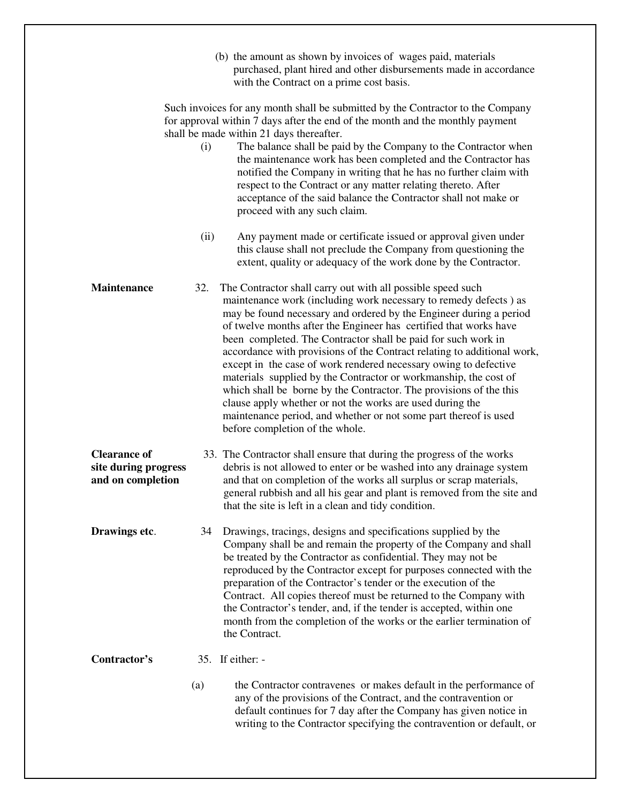|                                                                  |      | (b) the amount as shown by invoices of wages paid, materials<br>purchased, plant hired and other disbursements made in accordance<br>with the Contract on a prime cost basis.                                                                                                                                                                                                                                                                                                                                                                                                                                                                                                                                                                                                                            |
|------------------------------------------------------------------|------|----------------------------------------------------------------------------------------------------------------------------------------------------------------------------------------------------------------------------------------------------------------------------------------------------------------------------------------------------------------------------------------------------------------------------------------------------------------------------------------------------------------------------------------------------------------------------------------------------------------------------------------------------------------------------------------------------------------------------------------------------------------------------------------------------------|
|                                                                  | (i)  | Such invoices for any month shall be submitted by the Contractor to the Company<br>for approval within 7 days after the end of the month and the monthly payment<br>shall be made within 21 days thereafter.<br>The balance shall be paid by the Company to the Contractor when<br>the maintenance work has been completed and the Contractor has<br>notified the Company in writing that he has no further claim with<br>respect to the Contract or any matter relating thereto. After<br>acceptance of the said balance the Contractor shall not make or<br>proceed with any such claim.                                                                                                                                                                                                               |
|                                                                  | (ii) | Any payment made or certificate issued or approval given under<br>this clause shall not preclude the Company from questioning the<br>extent, quality or adequacy of the work done by the Contractor.                                                                                                                                                                                                                                                                                                                                                                                                                                                                                                                                                                                                     |
| <b>Maintenance</b>                                               | 32.  | The Contractor shall carry out with all possible speed such<br>maintenance work (including work necessary to remedy defects) as<br>may be found necessary and ordered by the Engineer during a period<br>of twelve months after the Engineer has certified that works have<br>been completed. The Contractor shall be paid for such work in<br>accordance with provisions of the Contract relating to additional work,<br>except in the case of work rendered necessary owing to defective<br>materials supplied by the Contractor or workmanship, the cost of<br>which shall be borne by the Contractor. The provisions of the this<br>clause apply whether or not the works are used during the<br>maintenance period, and whether or not some part thereof is used<br>before completion of the whole. |
| <b>Clearance of</b><br>site during progress<br>and on completion |      | 33. The Contractor shall ensure that during the progress of the works<br>debris is not allowed to enter or be washed into any drainage system<br>and that on completion of the works all surplus or scrap materials,<br>general rubbish and all his gear and plant is removed from the site and<br>that the site is left in a clean and tidy condition.                                                                                                                                                                                                                                                                                                                                                                                                                                                  |
| Drawings etc.                                                    | 34   | Drawings, tracings, designs and specifications supplied by the<br>Company shall be and remain the property of the Company and shall<br>be treated by the Contractor as confidential. They may not be<br>reproduced by the Contractor except for purposes connected with the<br>preparation of the Contractor's tender or the execution of the<br>Contract. All copies thereof must be returned to the Company with<br>the Contractor's tender, and, if the tender is accepted, within one<br>month from the completion of the works or the earlier termination of<br>the Contract.                                                                                                                                                                                                                       |
| Contractor's                                                     |      | 35. If either: -                                                                                                                                                                                                                                                                                                                                                                                                                                                                                                                                                                                                                                                                                                                                                                                         |
|                                                                  | (a)  | the Contractor contravenes or makes default in the performance of<br>any of the provisions of the Contract, and the contravention or<br>default continues for 7 day after the Company has given notice in<br>writing to the Contractor specifying the contravention or default, or                                                                                                                                                                                                                                                                                                                                                                                                                                                                                                                       |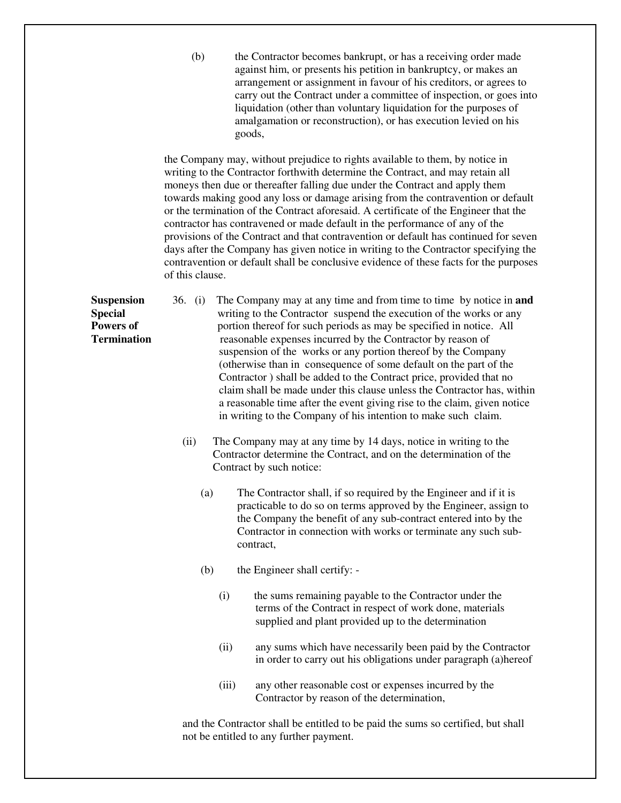(b) the Contractor becomes bankrupt, or has a receiving order made against him, or presents his petition in bankruptcy, or makes an arrangement or assignment in favour of his creditors, or agrees to carry out the Contract under a committee of inspection, or goes into liquidation (other than voluntary liquidation for the purposes of amalgamation or reconstruction), or has execution levied on his goods,

the Company may, without prejudice to rights available to them, by notice in writing to the Contractor forthwith determine the Contract, and may retain all moneys then due or thereafter falling due under the Contract and apply them towards making good any loss or damage arising from the contravention or default or the termination of the Contract aforesaid. A certificate of the Engineer that the contractor has contravened or made default in the performance of any of the provisions of the Contract and that contravention or default has continued for seven days after the Company has given notice in writing to the Contractor specifying the contravention or default shall be conclusive evidence of these facts for the purposes of this clause.

- **Suspension** 36. (i) The Company may at any time and from time to time by notice in **and Special** writing to the Contractor suspend the execution of the works or any **Powers of** portion thereof for such periods as may be specified in notice. All **Termination** reasonable expenses incurred by the Contractor by reason of suspension of the works or any portion thereof by the Company (otherwise than in consequence of some default on the part of the Contractor ) shall be added to the Contract price, provided that no claim shall be made under this clause unless the Contractor has, within a reasonable time after the event giving rise to the claim, given notice in writing to the Company of his intention to make such claim.
	- (ii) The Company may at any time by 14 days, notice in writing to the Contractor determine the Contract, and on the determination of the Contract by such notice:
		- (a) The Contractor shall, if so required by the Engineer and if it is practicable to do so on terms approved by the Engineer, assign to the Company the benefit of any sub-contract entered into by the Contractor in connection with works or terminate any such subcontract,
		- (b) the Engineer shall certify:
			- (i) the sums remaining payable to the Contractor under the terms of the Contract in respect of work done, materials supplied and plant provided up to the determination
			- (ii) any sums which have necessarily been paid by the Contractor in order to carry out his obligations under paragraph (a)hereof
			- (iii) any other reasonable cost or expenses incurred by the Contractor by reason of the determination,

and the Contractor shall be entitled to be paid the sums so certified, but shall not be entitled to any further payment.